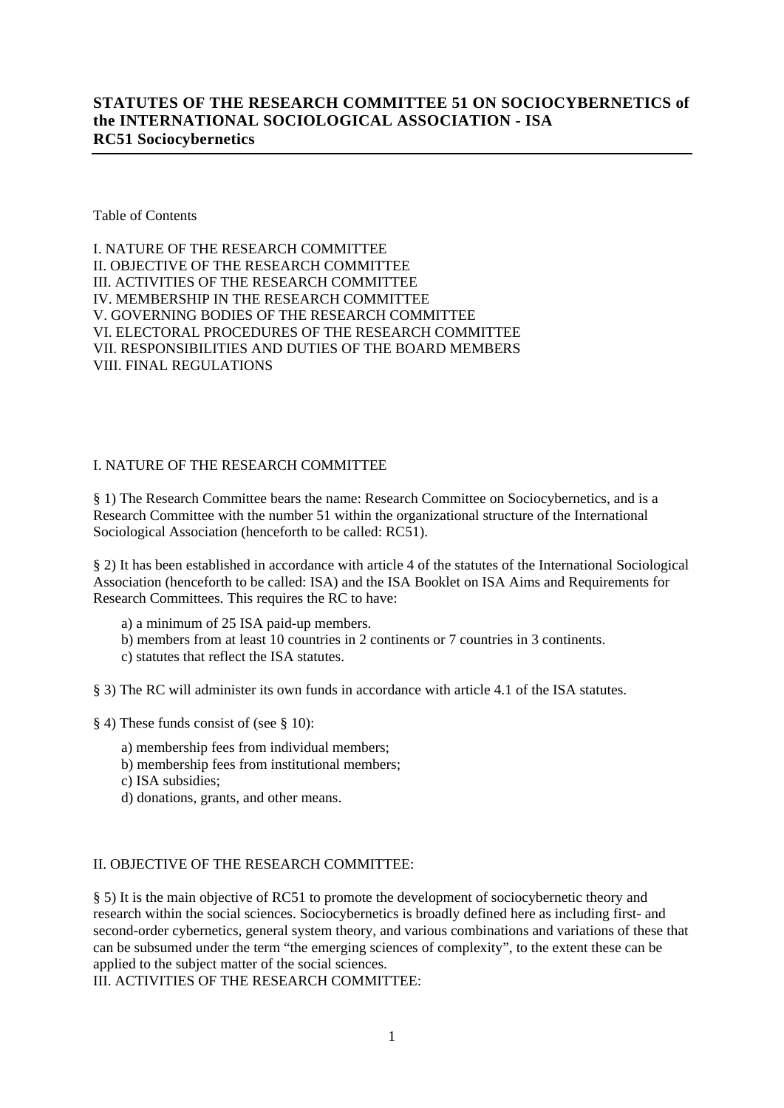# **STATUTES OF THE RESEARCH COMMITTEE 51 ON SOCIOCYBERNETICS of the INTERNATIONAL SOCIOLOGICAL ASSOCIATION - ISA RC51 Sociocybernetics**

Table of Contents

I. NATURE OF THE RESEARCH COMMITTEE II. OBJECTIVE OF THE RESEARCH COMMITTEE III. ACTIVITIES OF THE RESEARCH COMMITTEE IV. MEMBERSHIP IN THE RESEARCH COMMITTEE V. GOVERNING BODIES OF THE RESEARCH COMMITTEE VI. ELECTORAL PROCEDURES OF THE RESEARCH COMMITTEE VII. RESPONSIBILITIES AND DUTIES OF THE BOARD MEMBERS VIII. FINAL REGULATIONS

## I. NATURE OF THE RESEARCH COMMITTEE

§ 1) The Research Committee bears the name: Research Committee on Sociocybernetics, and is a Research Committee with the number 51 within the organizational structure of the International Sociological Association (henceforth to be called: RC51).

§ 2) It has been established in accordance with article 4 of the statutes of the International Sociological Association (henceforth to be called: ISA) and the ISA Booklet on ISA Aims and Requirements for Research Committees. This requires the RC to have:

- a) a minimum of 25 ISA paid-up members.
- b) members from at least 10 countries in 2 continents or 7 countries in 3 continents.
- c) statutes that reflect the ISA statutes.

§ 3) The RC will administer its own funds in accordance with article 4.1 of the ISA statutes.

- § 4) These funds consist of (see § 10):
	- a) membership fees from individual members;
	- b) membership fees from institutional members;
	- c) ISA subsidies;
	- d) donations, grants, and other means.

## II. OBJECTIVE OF THE RESEARCH COMMITTEE:

§ 5) It is the main objective of RC51 to promote the development of sociocybernetic theory and research within the social sciences. Sociocybernetics is broadly defined here as including first- and second-order cybernetics, general system theory, and various combinations and variations of these that can be subsumed under the term "the emerging sciences of complexity", to the extent these can be applied to the subject matter of the social sciences.

III. ACTIVITIES OF THE RESEARCH COMMITTEE: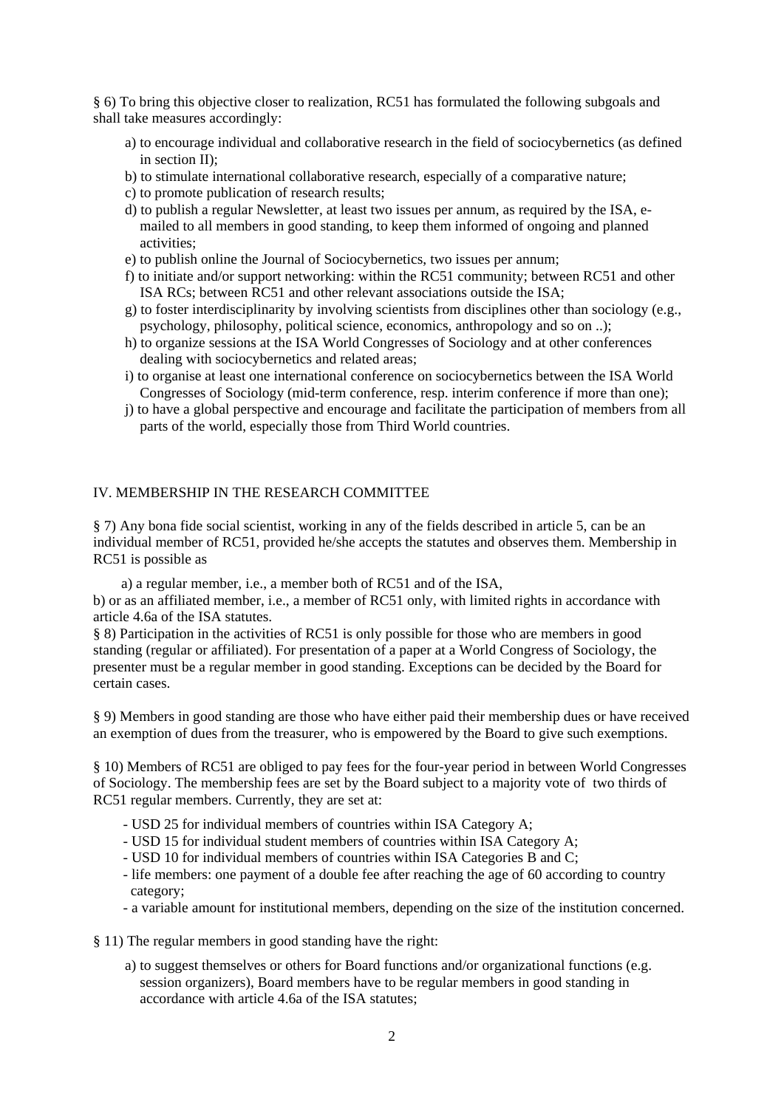§ 6) To bring this objective closer to realization, RC51 has formulated the following subgoals and shall take measures accordingly:

- a) to encourage individual and collaborative research in the field of sociocybernetics (as defined in section II);
- b) to stimulate international collaborative research, especially of a comparative nature;
- c) to promote publication of research results;
- d) to publish a regular Newsletter, at least two issues per annum, as required by the ISA, emailed to all members in good standing, to keep them informed of ongoing and planned activities;
- e) to publish online the Journal of Sociocybernetics, two issues per annum;
- f) to initiate and/or support networking: within the RC51 community; between RC51 and other ISA RCs; between RC51 and other relevant associations outside the ISA;
- g) to foster interdisciplinarity by involving scientists from disciplines other than sociology (e.g., psychology, philosophy, political science, economics, anthropology and so on ..);
- h) to organize sessions at the ISA World Congresses of Sociology and at other conferences dealing with sociocybernetics and related areas;
- i) to organise at least one international conference on sociocybernetics between the ISA World Congresses of Sociology (mid-term conference, resp. interim conference if more than one);
- j) to have a global perspective and encourage and facilitate the participation of members from all parts of the world, especially those from Third World countries.

## IV. MEMBERSHIP IN THE RESEARCH COMMITTEE

§ 7) Any bona fide social scientist, working in any of the fields described in article 5, can be an individual member of RC51, provided he/she accepts the statutes and observes them. Membership in RC51 is possible as

a) a regular member, i.e., a member both of RC51 and of the ISA,

b) or as an affiliated member, i.e., a member of RC51 only, with limited rights in accordance with article 4.6a of the ISA statutes.

§ 8) Participation in the activities of RC51 is only possible for those who are members in good standing (regular or affiliated). For presentation of a paper at a World Congress of Sociology, the presenter must be a regular member in good standing. Exceptions can be decided by the Board for certain cases.

§ 9) Members in good standing are those who have either paid their membership dues or have received an exemption of dues from the treasurer, who is empowered by the Board to give such exemptions.

§ 10) Members of RC51 are obliged to pay fees for the four-year period in between World Congresses of Sociology. The membership fees are set by the Board subject to a majority vote of two thirds of RC51 regular members. Currently, they are set at:

- USD 25 for individual members of countries within ISA Category A;
- USD 15 for individual student members of countries within ISA Category A;
- USD 10 for individual members of countries within ISA Categories B and C;
- life members: one payment of a double fee after reaching the age of 60 according to country category;
- a variable amount for institutional members, depending on the size of the institution concerned.

§ 11) The regular members in good standing have the right:

a) to suggest themselves or others for Board functions and/or organizational functions (e.g. session organizers), Board members have to be regular members in good standing in accordance with article 4.6a of the ISA statutes;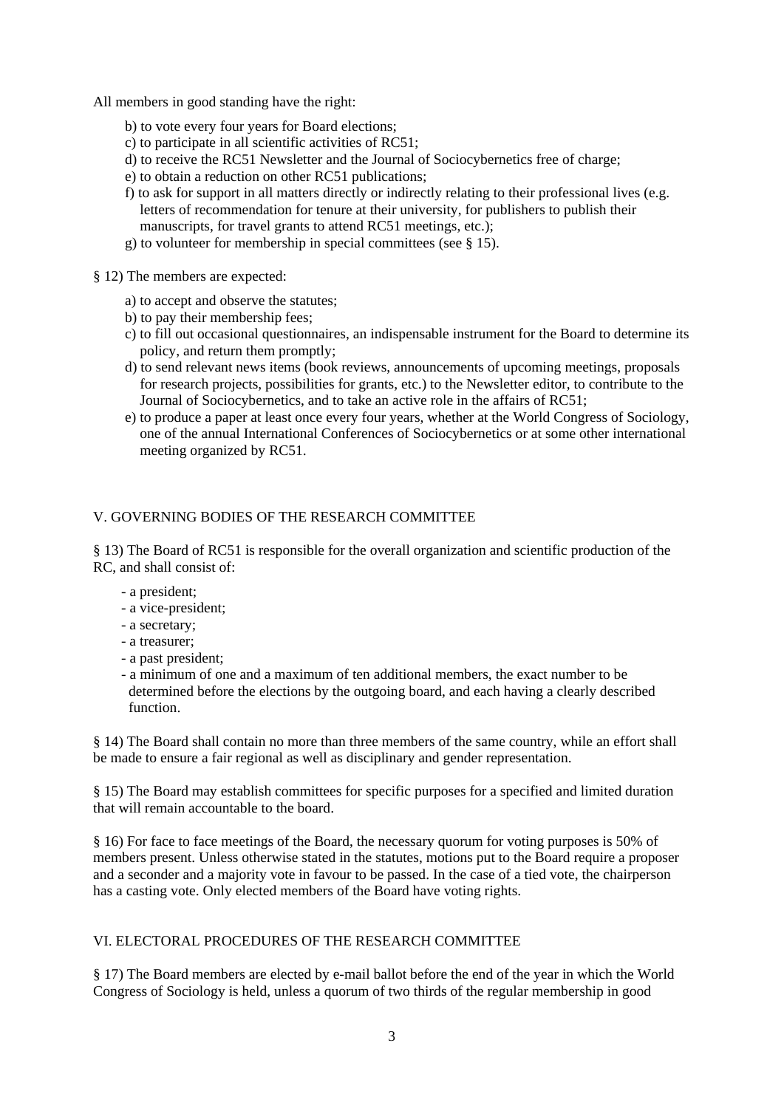- All members in good standing have the right:
	- b) to vote every four years for Board elections;
	- c) to participate in all scientific activities of RC51;
	- d) to receive the RC51 Newsletter and the Journal of Sociocybernetics free of charge;
	- e) to obtain a reduction on other RC51 publications;
	- f) to ask for support in all matters directly or indirectly relating to their professional lives (e.g. letters of recommendation for tenure at their university, for publishers to publish their manuscripts, for travel grants to attend RC51 meetings, etc.);
	- g) to volunteer for membership in special committees (see § 15).
- § 12) The members are expected:
	- a) to accept and observe the statutes;
	- b) to pay their membership fees;
	- c) to fill out occasional questionnaires, an indispensable instrument for the Board to determine its policy, and return them promptly;
	- d) to send relevant news items (book reviews, announcements of upcoming meetings, proposals for research projects, possibilities for grants, etc.) to the Newsletter editor, to contribute to the Journal of Sociocybernetics, and to take an active role in the affairs of RC51;
	- e) to produce a paper at least once every four years, whether at the World Congress of Sociology, one of the annual International Conferences of Sociocybernetics or at some other international meeting organized by RC51.

## V. GOVERNING BODIES OF THE RESEARCH COMMITTEE

§ 13) The Board of RC51 is responsible for the overall organization and scientific production of the RC, and shall consist of:

- a president;
- a vice-president;
- a secretary;
- a treasurer;
- a past president;
- a minimum of one and a maximum of ten additional members, the exact number to be determined before the elections by the outgoing board, and each having a clearly described function.

§ 14) The Board shall contain no more than three members of the same country, while an effort shall be made to ensure a fair regional as well as disciplinary and gender representation.

§ 15) The Board may establish committees for specific purposes for a specified and limited duration that will remain accountable to the board.

§ 16) For face to face meetings of the Board, the necessary quorum for voting purposes is 50% of members present. Unless otherwise stated in the statutes, motions put to the Board require a proposer and a seconder and a majority vote in favour to be passed. In the case of a tied vote, the chairperson has a casting vote. Only elected members of the Board have voting rights.

## VI. ELECTORAL PROCEDURES OF THE RESEARCH COMMITTEE

§ 17) The Board members are elected by e-mail ballot before the end of the year in which the World Congress of Sociology is held, unless a quorum of two thirds of the regular membership in good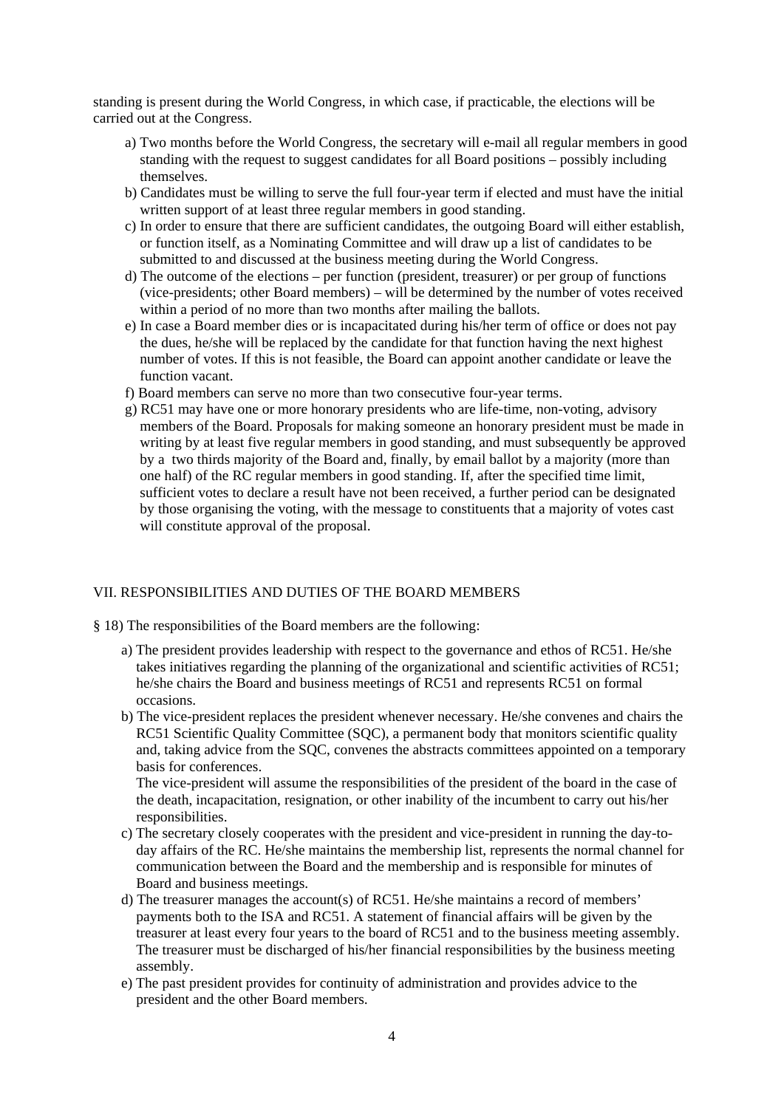standing is present during the World Congress, in which case, if practicable, the elections will be carried out at the Congress.

- a) Two months before the World Congress, the secretary will e-mail all regular members in good standing with the request to suggest candidates for all Board positions – possibly including themselves.
- b) Candidates must be willing to serve the full four-year term if elected and must have the initial written support of at least three regular members in good standing.
- c) In order to ensure that there are sufficient candidates, the outgoing Board will either establish, or function itself, as a Nominating Committee and will draw up a list of candidates to be submitted to and discussed at the business meeting during the World Congress.
- d) The outcome of the elections per function (president, treasurer) or per group of functions (vice-presidents; other Board members) – will be determined by the number of votes received within a period of no more than two months after mailing the ballots.
- e) In case a Board member dies or is incapacitated during his/her term of office or does not pay the dues, he/she will be replaced by the candidate for that function having the next highest number of votes. If this is not feasible, the Board can appoint another candidate or leave the function vacant.
- f) Board members can serve no more than two consecutive four-year terms.
- g) RC51 may have one or more honorary presidents who are life-time, non-voting, advisory members of the Board. Proposals for making someone an honorary president must be made in writing by at least five regular members in good standing, and must subsequently be approved by a two thirds majority of the Board and, finally, by email ballot by a majority (more than one half) of the RC regular members in good standing. If, after the specified time limit, sufficient votes to declare a result have not been received, a further period can be designated by those organising the voting, with the message to constituents that a majority of votes cast will constitute approval of the proposal.

## VII. RESPONSIBILITIES AND DUTIES OF THE BOARD MEMBERS

- § 18) The responsibilities of the Board members are the following:
	- a) The president provides leadership with respect to the governance and ethos of RC51. He/she takes initiatives regarding the planning of the organizational and scientific activities of RC51; he/she chairs the Board and business meetings of RC51 and represents RC51 on formal occasions.
	- b) The vice-president replaces the president whenever necessary. He/she convenes and chairs the RC51 Scientific Quality Committee (SQC), a permanent body that monitors scientific quality and, taking advice from the SQC, convenes the abstracts committees appointed on a temporary basis for conferences.

 The vice-president will assume the responsibilities of the president of the board in the case of the death, incapacitation, resignation, or other inability of the incumbent to carry out his/her responsibilities.

- c) The secretary closely cooperates with the president and vice-president in running the day-today affairs of the RC. He/she maintains the membership list, represents the normal channel for communication between the Board and the membership and is responsible for minutes of Board and business meetings.
- d) The treasurer manages the account(s) of RC51. He/she maintains a record of members' payments both to the ISA and RC51. A statement of financial affairs will be given by the treasurer at least every four years to the board of RC51 and to the business meeting assembly. The treasurer must be discharged of his/her financial responsibilities by the business meeting assembly.
- e) The past president provides for continuity of administration and provides advice to the president and the other Board members.